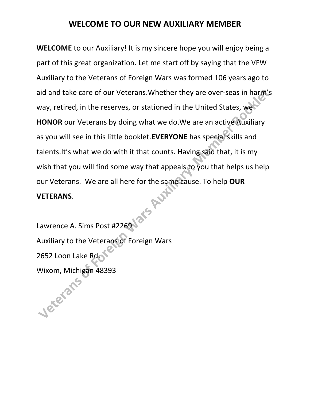#### **WELCOME TO OUR NEW AUXILIARY MEMBER**

**WELCOME** to our Auxiliary! It is my sincere hope you will enjoy being a part of this great organization. Let me start off by saying that the VFW Auxiliary to the Veterans of Foreign Wars was formed 106 years ago to aid and take care of our Veterans.Whether they are over-seas in harm's way, retired, in the reserves, or stationed in the United States, we **HONOR** our Veterans by doing what we do.We are an active Auxiliary as you will see in this little booklet.**EVERYONE** has special skills and talents.It's what we do with it that counts. Having said that, it is my wish that you will find some way that appeals to you that helps us help our Veterans. We are all here for the same cause. To help **OUR**<br>**VETERANS**. **VETERANS**.

Lawrence A. Sims Post #2269 Auxiliary to the Veterans of Foreign Wars 2652 Loon Lake Rd. Wixom, Michigan 48393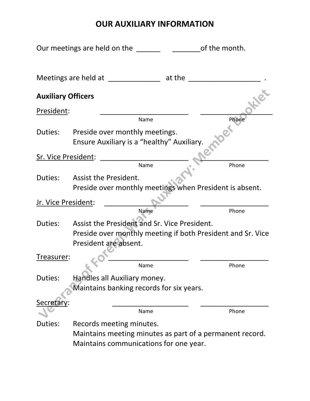# **OUR AUXILIARY INFORMATION**

|                            | Our meetings are held on the                                                                                                         | of the month. |       |  |
|----------------------------|--------------------------------------------------------------------------------------------------------------------------------------|---------------|-------|--|
|                            | Meetings are held at                                                                                                                 | at the        |       |  |
| <b>Auxiliary Officers</b>  |                                                                                                                                      |               |       |  |
| President:                 |                                                                                                                                      |               |       |  |
|                            | Name                                                                                                                                 |               | Phone |  |
| Duties:                    | Preside over monthly meetings.<br>Ensure Auxiliary is a "healthy" Auxiliary.                                                         |               |       |  |
| <b>Sr. Vice President:</b> |                                                                                                                                      |               |       |  |
|                            | Name                                                                                                                                 |               | Phone |  |
| Duties:                    | Assist the President.                                                                                                                |               |       |  |
|                            | Preside over monthly meetings when President is absent.                                                                              |               |       |  |
| <u>Jr. Vice President:</u> |                                                                                                                                      |               |       |  |
|                            | Name                                                                                                                                 |               | Phone |  |
| Duties:                    | Assist the President and Sr. Vice President.<br>Preside over monthly meeting if both President and Sr. Vice<br>President are absent. |               |       |  |
| Treasurer:                 |                                                                                                                                      |               |       |  |
|                            | Name                                                                                                                                 |               | Phone |  |
| Duties:                    | Handles all Auxiliary money.<br>Maintains banking records for six years.                                                             |               |       |  |
| Secretary:                 |                                                                                                                                      |               |       |  |
|                            | Name                                                                                                                                 |               | Phone |  |
| Duties:                    | Records meeting minutes.                                                                                                             |               |       |  |
|                            | Maintains meeting minutes as part of a permanent record.                                                                             |               |       |  |
|                            | Maintains communications for one year.                                                                                               |               |       |  |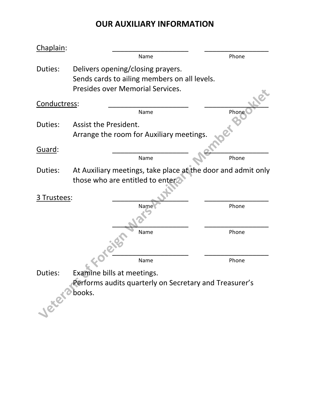# **OUR AUXILIARY INFORMATION**

| Chaplain:    |                                                              |       |
|--------------|--------------------------------------------------------------|-------|
|              | Name                                                         | Phone |
| Duties:      | Delivers opening/closing prayers.                            |       |
|              | Sends cards to ailing members on all levels.                 |       |
|              | Presides over Memorial Services.                             |       |
| Conductress: |                                                              |       |
|              | Name                                                         | Phone |
| Duties:      | <b>Assist the President.</b>                                 |       |
|              | Arrange the room for Auxiliary meetings.                     |       |
|              |                                                              |       |
| Guard:       | Name                                                         | Phone |
| Duties:      | At Auxiliary meetings, take place at the door and admit only |       |
|              | those who are entitled to enter.                             |       |
|              |                                                              |       |
| Trustees:    |                                                              |       |
|              | Name                                                         | Phone |
|              |                                                              |       |
|              | Name                                                         | Phone |
|              |                                                              |       |
|              |                                                              |       |
|              | Name                                                         | Phone |
| Duties:      | Examine bills at meetings.                                   |       |
|              | Performs audits quarterly on Secretary and Treasurer's       |       |
|              | books.                                                       |       |
|              |                                                              |       |
| Jeter.       |                                                              |       |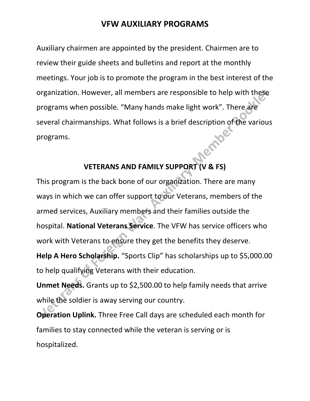Auxiliary chairmen are appointed by the president. Chairmen are to review their guide sheets and bulletins and report at the monthly meetings. Your job is to promote the program in the best interest of the organization. However, all members are responsible to help with these programs when possible. "Many hands make light work". There are several chairmanships. What follows is a brief description of the various<br>programs. programs.

# **VETERANS AND FAMILY SUPPORT (V & FS)**

This program is the back bone of our organization. There are many ways in which we can offer support to our Veterans, members of the armed services, Auxiliary members and their families outside the hospital. **National Veterans Service**. The VFW has service officers who work with Veterans to ensure they get the benefits they deserve. **Help A Hero Scholarship.** "Sports Clip" has scholarships up to \$5,000.00 to help qualifying Veterans with their education.

**Unmet Needs.** Grants up to \$2,500.00 to help family needs that arrive while the soldier is away serving our country.

**Operation Uplink.** Three Free Call days are scheduled each month for families to stay connected while the veteran is serving or is hospitalized.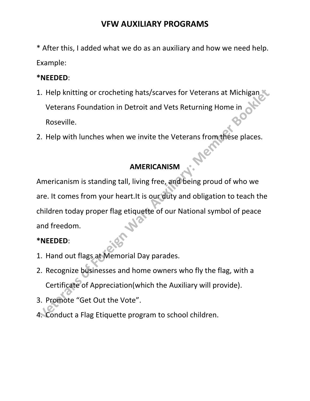\* After this, I added what we do as an auxiliary and how we need help. Example:

#### **\*NEEDED**:

- 1. Help knitting or crocheting hats/scarves for Veterans at Michigan Veterans Foundation in Detroit and Vets Returning Home in Roseville.
- 2. Help with lunches when we invite the Veterans from these places.

### **AMERICANISM**

ner

Americanism is standing tall, living free, and being proud of who we are. It comes from your heart.It is our duty and obligation to teach the children today proper flag etiquette of our National symbol of peace and freedom.

### **\*NEEDED**:

- 1. Hand out flags at Memorial Day parades.
- 2. Recognize businesses and home owners who fly the flag, with a Certificate of Appreciation(which the Auxiliary will provide).
- 3. Promote "Get Out the Vote".
- 4. Conduct a Flag Etiquette program to school children.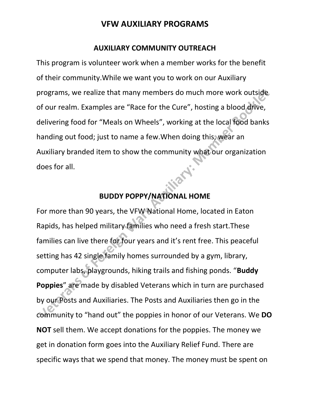#### **AUXILIARY COMMUNITY OUTREACH**

This program is volunteer work when a member works for the benefit of their community.While we want you to work on our Auxiliary programs, we realize that many members do much more work outside of our realm. Examples are "Race for the Cure", hosting a blood drive, delivering food for "Meals on Wheels", working at the local food banks handing out food; just to name a few.When doing this, wear an Auxiliary branded item to show the community what our organization does for all.

#### **BUDDY POPPY/NATIONAL HOME**

For more than 90 years, the VFW National Home, located in Eaton Rapids, has helped military families who need a fresh start.These families can live there for four years and it's rent free. This peaceful setting has 42 single family homes surrounded by a gym, library, computer labs, playgrounds, hiking trails and fishing ponds. "**Buddy Poppies**" are made by disabled Veterans which in turn are purchased by our Posts and Auxiliaries. The Posts and Auxiliaries then go in the community to "hand out" the poppies in honor of our Veterans. We **DO NOT** sell them. We accept donations for the poppies. The money we get in donation form goes into the Auxiliary Relief Fund. There are specific ways that we spend that money. The money must be spent on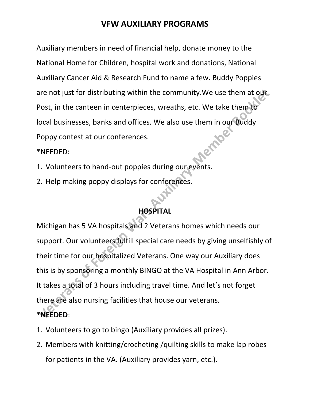Auxiliary members in need of financial help, donate money to the National Home for Children, hospital work and donations, National Auxiliary Cancer Aid & Research Fund to name a few. Buddy Poppies are not just for distributing within the community. We use them at our Post, in the canteen in centerpieces, wreaths, etc. We take them to local businesses, banks and offices. We also use them in our Buddy<br>Poppy contest at our conferences.<br>\*NEEDED: Poppy contest at our conferences.

\*NEEDED:

- 1. Volunteers to hand-out poppies during our events.
- 2. Help making poppy displays for conferences.

### **HOSPITAL**

Michigan has 5 VA hospitals and 2 Veterans homes which needs our support. Our volunteers fulfill special care needs by giving unselfishly of their time for our hospitalized Veterans. One way our Auxiliary does this is by sponsoring a monthly BINGO at the VA Hospital in Ann Arbor. It takes a total of 3 hours including travel time. And let's not forget there are also nursing facilities that house our veterans. \***NEEDED**:

- 1. Volunteers to go to bingo (Auxiliary provides all prizes).
- 2. Members with knitting/crocheting /quilting skills to make lap robes for patients in the VA. (Auxiliary provides yarn, etc.).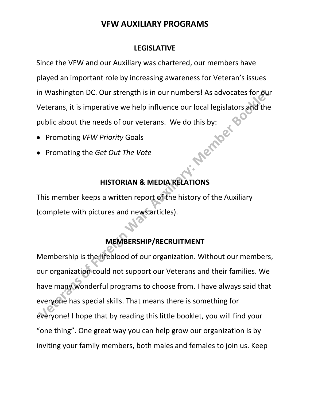#### **LEGISLATIVE**

Since the VFW and our Auxiliary was chartered, our members have played an important role by increasing awareness for Veteran's issues in Washington DC. Our strength is in our numbers! As advocates for our Veterans, it is imperative we help influence our local legislators and the<br>public about the needs of our veterans. We do this by:<br>• Promoting VFW Priority Goals<br>• Promoting the Get Out The '' public about the needs of our veterans. We do this by:

- Promoting *VFW Priority* Goals
- Promoting the *Get Out The Vote*

# **HISTORIAN & MEDIA RELATIONS**

This member keeps a written report of the history of the Auxiliary (complete with pictures and news articles).

## **MEMBERSHIP/RECRUITMENT**

Membership is the lifeblood of our organization. Without our members, our organization could not support our Veterans and their families. We have many wonderful programs to choose from. I have always said that everyone has special skills. That means there is something for everyone! I hope that by reading this little booklet, you will find your "one thing". One great way you can help grow our organization is by inviting your family members, both males and females to join us. Keep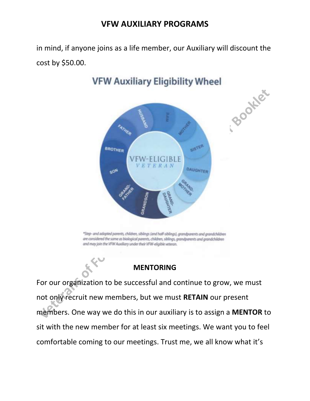in mind, if anyone joins as a life member, our Auxiliary will discount the cost by \$50.00.



# **VFW Auxiliary Eligibility Wheel**

**MENTORING**

For our organization to be successful and continue to grow, we must not only recruit new members, but we must **RETAIN** our present members. One way we do this in our auxiliary is to assign a **MENTOR** to sit with the new member for at least six meetings. We want you to feel comfortable coming to our meetings. Trust me, we all know what it's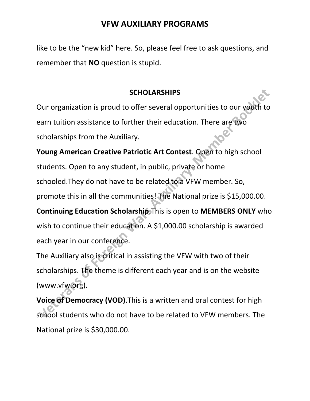like to be the "new kid" here. So, please feel free to ask questions, and remember that **NO** question is stupid.

#### **SCHOLARSHIPS**

Our organization is proud to offer several opportunities to our youth to earn tuition assistance to further their education. There are two scholarships from the Auxiliary.

**Young American Creative Patriotic Art Contest**. Open to high school students. Open to any student, in public, private or home schooled.They do not have to be related to a VFW member. So, promote this in all the communities! The National prize is \$15,000.00. **Continuing Education Scholarship**.This is open to **MEMBERS ONLY** who wish to continue their education. A \$1,000.00 scholarship is awarded

each year in our conference.

The Auxiliary also is critical in assisting the VFW with two of their scholarships. The theme is different each year and is on the website [\(www.vfw.org\)](http://www.vfw.org/).

**Voice of Democracy (VOD)**.This is a written and oral contest for high school students who do not have to be related to VFW members. The National prize is \$30,000.00.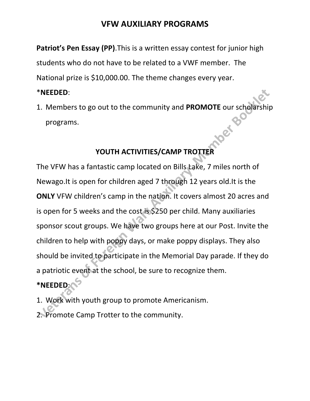**Patriot's Pen Essay (PP)**.This is a written essay contest for junior high students who do not have to be related to a VWF member. The National prize is \$10,000.00. The theme changes every year.

#### \***NEEDED**:

1. Members to go out to the community and **PROMOTE** our scholarship programs.

# **YOUTH ACTIVITIES/CAMP TROTTER**

The VFW has a fantastic camp located on Bills Lake, 7 miles north of Newago.It is open for children aged 7 through 12 years old.It is the **ONLY** VFW children's camp in the nation. It covers almost 20 acres and is open for 5 weeks and the cost is \$250 per child. Many auxiliaries sponsor scout groups. We have two groups here at our Post. Invite the children to help with poppy days, or make poppy displays. They also should be invited to participate in the Memorial Day parade. If they do a patriotic event at the school, be sure to recognize them. **\*NEEDED**:

- 1. Work with youth group to promote Americanism.
- 2. Promote Camp Trotter to the community.